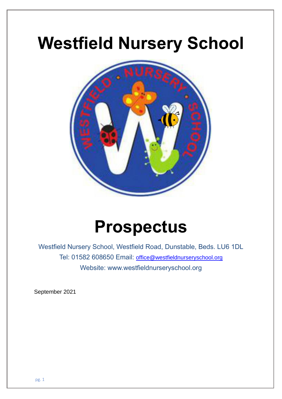# **Westfield Nursery School**



## **Prospectus**

Westfield Nursery School, Westfield Road, Dunstable, Beds. LU6 1DL Tel: 01582 608650 Email: [office@westfieldnurseryschool.org](mailto:office@westfieldnurseryschool.org) Website: www.westfieldnurseryschool.org

September 2021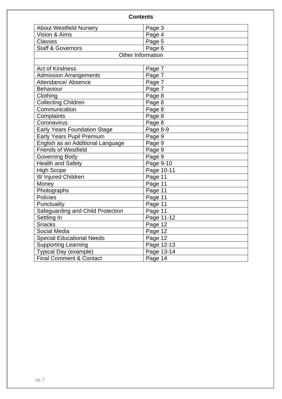| <b>Contents</b>                     |                   |  |
|-------------------------------------|-------------------|--|
| <b>About Westfield Nursery</b>      | Page 3            |  |
| Vision & Aims                       | Page 4            |  |
| <b>Classes</b>                      | Page 5            |  |
| <b>Staff &amp; Governors</b>        | Page 6            |  |
|                                     | Other Information |  |
|                                     |                   |  |
| <b>Act of Kindness</b>              | Page 7            |  |
| <b>Admission Arrangements</b>       | Page 7            |  |
| Attendance/ Absence                 | Page 7            |  |
| Behaviour                           | Page 7            |  |
| Clothing                            | Page 8            |  |
| <b>Collecting Children</b>          | Page 8            |  |
| Communication                       | Page 8            |  |
| Complaints                          | Page 8            |  |
| Coronavirus                         | Page 8            |  |
| <b>Early Years Foundation Stage</b> | Page 8-9          |  |
| Early Years Pupil Premium           | Page 9            |  |
| English as an Additional Language   | Page 9            |  |
| <b>Friends of Westfield</b>         | Page 9            |  |
| Governing Body                      | Page 9            |  |
| <b>Health and Safety</b>            | Page 9-10         |  |
| <b>High Scope</b>                   | Page 10-11        |  |
| III/ Injured Children               | Page 11           |  |
| Money                               | Page 11           |  |
| Photographs                         | Page 11           |  |
| <b>Policies</b>                     | Page 11           |  |
| Punctuality                         | Page 11           |  |
| Safeguarding and Child Protection   | Page 11           |  |
| Settling In                         | Page 11-12        |  |
| <b>Snacks</b>                       | Page 12           |  |
| Social Media                        | Page 12           |  |
| <b>Special Educational Needs</b>    | Page 12           |  |
| <b>Supporting Learning</b>          | Page 12-13        |  |
| Typical Day (example)               | Page 13-14        |  |
| <b>Final Comment &amp; Contact</b>  | Page 14           |  |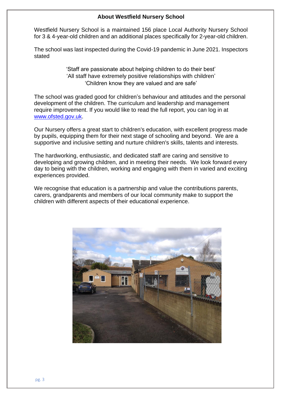#### **About Westfield Nursery School**

Westfield Nursery School is a maintained 156 place Local Authority Nursery School for 3 & 4-year-old children and an additional places specifically for 2-year-old children.

The school was last inspected during the Covid-19 pandemic in June 2021. Inspectors stated

> 'Staff are passionate about helping children to do their best' 'All staff have extremely positive relationships with children' 'Children know they are valued and are safe'

The school was graded good for children's behaviour and attitudes and the personal development of the children. The curriculum and leadership and management require improvement. If you would like to read the full report, you can log in at [www.ofsted.gov.uk.](http://www.ofsted.gov.uk/)

Our Nursery offers a great start to children's education, with excellent progress made by pupils, equipping them for their next stage of schooling and beyond. We are a supportive and inclusive setting and nurture children's skills, talents and interests.

The hardworking, enthusiastic, and dedicated staff are caring and sensitive to developing and growing children, and in meeting their needs. We look forward every day to being with the children, working and engaging with them in varied and exciting experiences provided.

We recognise that education is a partnership and value the contributions parents, carers, grandparents and members of our local community make to support the children with different aspects of their educational experience.

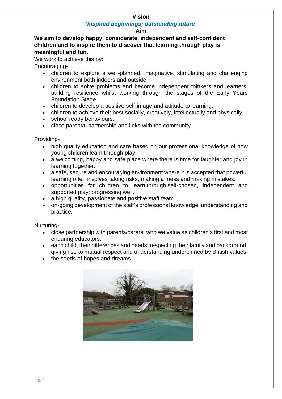#### **Vision**

#### *'Inspired beginnings; outstanding future'*

#### **Aim**

**We aim to develop happy, considerate, independent and self-confident children and to inspire them to discover that learning through play is meaningful and fun.**

We work to achieve this by:

Encouraging-

- children to explore a well-planned, imaginative, stimulating and challenging environment both indoors and outside.
- children to solve problems and become independent thinkers and learners; building resilience whilst working through the stages of the Early Years Foundation Stage.
- children to develop a positive self-image and attitude to learning.
- children to achieve their best socially, creatively, intellectually and physically.
- school ready behaviours.
- close parental partnership and links with the community.

Providing-

- high quality education and care based on our professional knowledge of how young children learn through play.
- a welcoming, happy and safe place where there is time for laughter and joy in learning together.
- a safe, secure and encouraging environment where it is accepted that powerful learning often involves taking risks, making a mess and making mistakes.
- opportunities for children to learn through self-chosen, independent and supported play; progressing well.
- a high quality, passionate and positive staff team.
- on-going development of the staff's professional knowledge, understanding and practice.

Nurturing-

- close partnership with parents/carers, who we value as children's first and most enduring educators.
- each child, their differences and needs; respecting their family and background, giving rise to mutual respect and understanding underpinned by British values.
- the seeds of hopes and dreams.

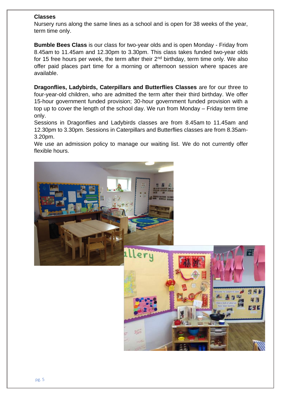#### **Classes**

Nursery runs along the same lines as a school and is open for 38 weeks of the year, term time only.

**Bumble Bees Class** is our class for two-year olds and is open Monday - Friday from 8.45am to 11.45am and 12.30pm to 3.30pm. This class takes funded two-year olds for 15 free hours per week, the term after their  $2<sup>nd</sup>$  birthday, term time only. We also offer paid places part time for a morning or afternoon session where spaces are available.

**Dragonflies, Ladybirds, Caterpillars and Butterflies Classes** are for our three to four-year-old children, who are admitted the term after their third birthday. We offer 15-hour government funded provision; 30-hour government funded provision with a top up to cover the length of the school day. We run from Monday – Friday term time only.

Sessions in Dragonflies and Ladybirds classes are from 8.45am to 11.45am and 12.30pm to 3.30pm. Sessions in Caterpillars and Butterflies classes are from 8.35am-3.20pm.

We use an admission policy to manage our waiting list. We do not currently offer flexible hours.

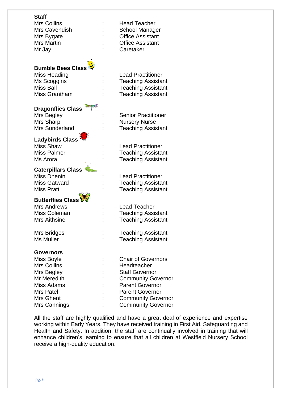#### **Staff**

Mrs Collins **: Example 20** : Head Teacher Mr Jay  $\qquad \qquad$ : Caretaker

### **Bumble Bees Class**

#### **Dragonflies Class**

Mrs Sharp : Nursery Nurse

## **Ladybirds Class**

#### **Caterpillars Class**

### **Butterflies Class**

#### **Governors**

Mrs Cavendish : School Manager Mrs Bygate : Coffice Assistant Mrs Martin : Coffice Assistant

Miss Heading The State State State Characteristic Miss Heading Ms Scoggins : Teaching Assistant Miss Ball : Teaching Assistant Miss Grantham : Teaching Assistant

Mrs Begley : Senior Practitioner Mrs Sunderland : Teaching Assistant

Miss Shaw : Lead Practitioner Miss Palmer : Teaching Assistant Ms Arora **:** Teaching Assistant

Miss Dhenin : Lead Practitioner Miss Gatward : Teaching Assistant Miss Pratt : Teaching Assistant

Mrs Andrews : Lead Teacher Miss Coleman : Teaching Assistant Mrs Aithsine : Teaching Assistant

Mrs Bridges : Teaching Assistant Ms Muller : Teaching Assistant

Miss Boyle : Chair of Governors Mrs Collins **:** Headteacher Mrs Begley **:** Staff Governor Mr Meredith : Community Governor Miss Adams : Parent Governor Mrs Patel : Parent Governor Mrs Ghent : Community Governor Mrs Cannings : Community Governor

All the staff are highly qualified and have a great deal of experience and expertise working within Early Years. They have received training in First Aid, Safeguarding and Health and Safety. In addition, the staff are continually involved in training that will enhance children's learning to ensure that all children at Westfield Nursery School receive a high-quality education.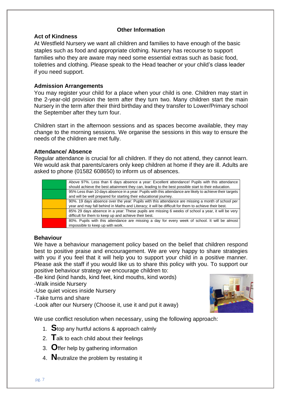#### **Other Information**

#### **Act of Kindness**

At Westfield Nursery we want all children and families to have enough of the basic staples such as food and appropriate clothing. Nursery has recourse to support families who they are aware may need some essential extras such as basic food, toiletries and clothing. Please speak to the Head teacher or your child's class leader if you need support.

#### **Admission Arrangements**

You may register your child for a place when your child is one. Children may start in the 2-year-old provision the term after they turn two. Many children start the main Nursery in the term after their third birthday and they transfer to Lower/Primary school the September after they turn four.

Children start in the afternoon sessions and as spaces become available, they may change to the morning sessions. We organise the sessions in this way to ensure the needs of the children are met fully.

#### **Attendance/ Absence**

Regular attendance is crucial for all children. If they do not attend, they cannot learn. We would ask that parents/carers only keep children at home if they are ill. Adults are asked to phone (01582 608650) to inform us of absences.

| Above 97%. Less than 6 days absence a year: Excellent attendance! Pupils with this attendance<br>should achieve the best attainment they can, leading to the best possible start to their education. |
|------------------------------------------------------------------------------------------------------------------------------------------------------------------------------------------------------|
|                                                                                                                                                                                                      |
| 95% Less than 10 days absence in a year: Pupils with this attendance are likely to achieve their targets                                                                                             |
| and will be well prepared for starting their educational journey.                                                                                                                                    |
| 90%. 19 days absence over the year: Pupils with this attendance are missing a month of school per                                                                                                    |
| year and may fall behind in Maths and Literacy; it will be difficult for them to achieve their best.                                                                                                 |
| 85% 29 days absence in a year: These pupils are missing 6 weeks of school a year, it will be very                                                                                                    |
| difficult for them to keep up and achieve their best.                                                                                                                                                |
| 80%. Pupils with this attendance are missing a day for every week of school. It will be almost                                                                                                       |
| impossible to keep up with work.                                                                                                                                                                     |

#### **Behaviour**

We have a behaviour management policy based on the belief that children respond best to positive praise and encouragement. We are very happy to share strategies with you if you feel that it will help you to support your child in a positive manner. Please ask the staff if you would like us to share this policy with you. To support our positive behaviour strategy we encourage children to:

-Be kind (kind hands, kind feet, kind mouths, kind words)

- -Walk inside Nursery
- -Use quiet voices inside Nursery
- -Take turns and share
- -Look after our Nursery (Choose it, use it and put it away)

We use conflict resolution when necessary, using the following approach:

- 1. **S**top any hurtful actions & approach calmly
- 2. **T**alk to each child about their feelings
- 3. **O**ffer help by gathering information
- 4. **N**eutralize the problem by restating it

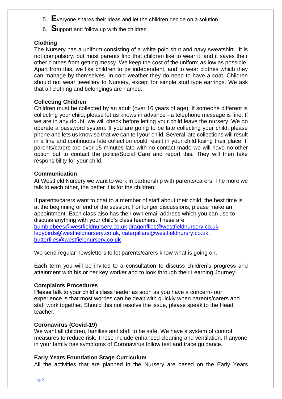- 5. **E**veryone shares their ideas and let the children decide on a solution
- 6. **S**upport and follow up with the children

#### **Clothing**

The Nursery has a uniform consisting of a white polo shirt and navy sweatshirt. It is not compulsory, but most parents find that children like to wear it, and it saves their other clothes from getting messy. We keep the cost of the uniform as low as possible. Apart from this, we like children to be independent, and to wear clothes which they can manage by themselves. In cold weather they do need to have a coat. Children should not wear jewellery to Nursery, except for simple stud type earrings. We ask that all clothing and belongings are named.

#### **Collecting Children**

Children must be collected by an adult (over 16 years of age). If someone different is collecting your child, please let us knows in advance - a telephone message is fine. If we are in any doubt, we will check before letting your child leave the nursery. We do operate a password system. If you are going to be late collecting your child, please phone and lets us know so that we can tell your child. Several late collections will result in a fine and continuous late collection could result in your child losing their place. If parents/carers are over 15 minutes late with no contact made we will have no other option but to contact the police/Social Care and report this. They will then take responsibility for your child.

#### **Communication**

At Westfield Nursery we want to work in partnership with parents/carers. The more we talk to each other, the better it is for the children.

If parents/carers want to chat to a member of staff about their child, the best time is at the beginning or end of the session. For longer discussions, please make an appointment. Each class also has their own email address which you can use to discuss anything with your child's class teachers. These are [bumblebees@westfieldnursery.co.uk](mailto:bumblebees@westfieldnursery.co.uk) [dragonflies@westfieldnursery.co.uk](mailto:dragonflies@westfieldnursery.co.uk)  [ladybirds@westfieldnursery.co.uk,](mailto:ladybirds@westfieldnursery.co.uk) [caterpillars@westfieldnursry.co.uk,](mailto:caterpillars@westfieldnursry.co.uk) [butterflies@westfieldnursery.co.uk](mailto:butterflies@westfieldnursery.co.uk)

We send regular newsletters to let parents/carers know what is going on.

Each term you will be invited to a consultation to discuss children's progress and attainment with his or her key worker and to look through their Learning Journey.

#### **Complaints Procedures**

Please talk to your child's class leader as soon as you have a concern- our experience is that most worries can be dealt with quickly when parents/carers and staff work together. Should this not resolve the issue, please speak to the Head teacher.

#### **Coronavirus (Covid-19)**

We want all children, families and staff to be safe. We have a system of control measures to reduce risk. These include enhanced cleaning and ventilation. If anyone in your family has symptoms of Coronavirus follow test and trace guidance.

#### **Early Years Foundation Stage Curriculum**

All the activities that are planned in the Nursery are based on the Early Years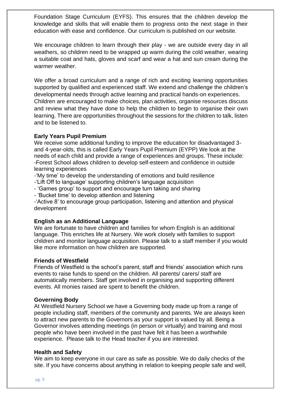Foundation Stage Curriculum (EYFS). This ensures that the children develop the knowledge and skills that will enable them to progress onto the next stage in their education with ease and confidence. Our curriculum is published on our website.

We encourage children to learn through their play - we are outside every day in all weathers, so children need to be wrapped up warm during the cold weather, wearing a suitable coat and hats, gloves and scarf and wear a hat and sun cream during the warmer weather.

We offer a broad curriculum and a range of rich and exciting learning opportunities supported by qualified and experienced staff. We extend and challenge the children's developmental needs through active learning and practical hands-on experiences. Children are encouraged to make choices, plan activities, organise resources discuss and review what they have done to help the children to begin to organise their own learning. There are opportunities throughout the sessions for the children to talk, listen and to be listened to.

#### **Early Years Pupil Premium**

We receive some additional funding to improve the education for disadvantaged 3 and 4-year-olds, this is called Early Years Pupil Premium (EYPP) We look at the needs of each child and provide a range of experiences and groups. These include: -Forest School allows children to develop self-esteem and confidence in outside learning experiences

-'My time' to develop the understanding of emotions and build resilience

- -'Lift Off to language' supporting children's language acquisition
- 'Games group' to support and encourage turn taking and sharing
- 'Bucket time' to develop attention and listening

-'Active 8' to encourage group participation, listening and attention and physical development

#### **English as an Additional Language**

We are fortunate to have children and families for whom English is an additional language. This enriches life at Nursery. We work closely with families to support children and monitor language acquisition. Please talk to a staff member if you would like more information on how children are supported.

#### **Friends of Westfield**

Friends of Westfield is the school's parent, staff and friends' association which runs events to raise funds to spend on the children. All parents/ carers/ staff are automatically members. Staff get involved in organising and supporting different events. All monies raised are spent to benefit the children.

#### **Governing Body**

At Westfield Nursery School we have a Governing body made up from a range of people including staff, members of the community and parents. We are always keen to attract new parents to the Governors as your support is valued by all. Being a Governor involves attending meetings (in person or virtually) and training and most people who have been involved in the past have felt it has been a worthwhile experience. Please talk to the Head teacher if you are interested.

#### **Health and Safety**

We aim to keep everyone in our care as safe as possible. We do daily checks of the site. If you have concerns about anything in relation to keeping people safe and well,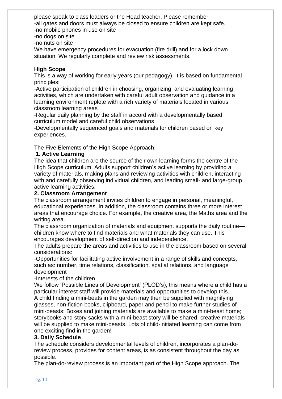please speak to class leaders or the Head teacher. Please remember -all gates and doors must always be closed to ensure children are kept safe. -no mobile phones in use on site

-no dogs on site

-no nuts on site

We have emergency procedures for evacuation (fire drill) and for a lock down situation. We regularly complete and review risk assessments.

#### **High Scope**

This is a way of working for early years (our pedagogy). It is based on fundamental principles:

-Active participation of children in choosing, organizing, and evaluating learning activities, which are undertaken with careful adult observation and guidance in a learning environment replete with a rich variety of materials located in various classroom learning areas

-Regular daily planning by the staff in accord with a developmentally based curriculum model and careful child observations

-Developmentally sequenced goals and materials for children based on key experiences.

The Five Elements of the High Scope Approach:

#### **1. Active Learning**

The idea that children are the source of their own learning forms the centre of the High Scope curriculum. Adults support children's active learning by providing a variety of materials, making plans and reviewing activities with children, interacting with and carefully observing individual children, and leading small- and large-group active learning activities.

#### **2. Classroom Arrangement**

The classroom arrangement invites children to engage in personal, meaningful, educational experiences. In addition, the classroom contains three or more interest areas that encourage choice. For example, the creative area, the Maths area and the writing area.

The classroom organization of materials and equipment supports the daily routine children know where to find materials and what materials they can use. This encourages development of self-direction and independence.

The adults prepare the areas and activities to use in the classroom based on several considerations:

-Opportunities for facilitating active involvement in a range of skills and concepts, such as: number, time relations, classification, spatial relations, and language development

#### -Interests of the children

We follow 'Possible Lines of Development' (PLOD's), this means where a child has a particular interest staff will provide materials and opportunities to develop this. A child finding a mini-beats in the garden may then be supplied with magnifying glasses, non-fiction books, clipboard, paper and pencil to make further studies of mini-beasts; Boxes and joining materials are available to make a mini-beast home; storybooks and story sacks with a mini-beast story will be shared; creative materials will be supplied to make mini-beasts. Lots of child-initiated learning can come from one exciting find in the garden!

#### **3. Daily Schedule**

The schedule considers developmental levels of children, incorporates a plan-doreview process, provides for content areas, is as consistent throughout the day as possible.

The plan-do-review process is an important part of the High Scope approach. The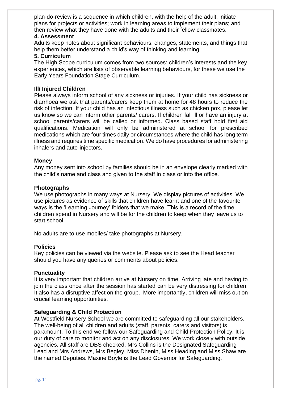plan-do-review is a sequence in which children, with the help of the adult, initiate plans for projects or activities; work in learning areas to implement their plans; and then review what they have done with the adults and their fellow classmates.

#### **4. Assessment**

Adults keep notes about significant behaviours, changes, statements, and things that help them better understand a child's way of thinking and learning.

#### **5. Curriculum**

The High Scope curriculum comes from two sources: children's interests and the key experiences, which are lists of observable learning behaviours, for these we use the Early Years Foundation Stage Curriculum.

#### **Ill/ Injured Children**

Please always inform school of any sickness or injuries. If your child has sickness or diarrhoea we ask that parents/carers keep them at home for 48 hours to reduce the risk of infection. If your child has an infectious illness such as chicken pox, please let us know so we can inform other parents/ carers. If children fall ill or have an injury at school parents/carers will be called or informed. Class based staff hold first aid qualifications. Medication will only be administered at school for prescribed medications which are four times daily or circumstances where the child has long term illness and requires time specific medication. We do have procedures for administering inhalers and auto-injectors.

#### **Money**

Any money sent into school by families should be in an envelope clearly marked with the child's name and class and given to the staff in class or into the office.

#### **Photographs**

We use photographs in many ways at Nursery. We display pictures of activities. We use pictures as evidence of skills that children have learnt and one of the favourite ways is the 'Learning Journey' folders that we make. This is a record of the time children spend in Nursery and will be for the children to keep when they leave us to start school.

No adults are to use mobiles/ take photographs at Nursery.

#### **Policies**

Key policies can be viewed via the website. Please ask to see the Head teacher should you have any queries or comments about policies.

#### **Punctuality**

It is very important that children arrive at Nursery on time. Arriving late and having to join the class once after the session has started can be very distressing for children. It also has a disruptive affect on the group. More importantly, children will miss out on crucial learning opportunities.

#### **Safeguarding & Child Protection**

At Westfield Nursery School we are committed to safeguarding all our stakeholders. The well-being of all children and adults (staff, parents, carers and visitors) is paramount. To this end we follow our Safeguarding and Child Protection Policy. It is our duty of care to monitor and act on any disclosures. We work closely with outside agencies. All staff are DBS checked. Mrs Collins is the Designated Safeguarding Lead and Mrs Andrews, Mrs Begley, Miss Dhenin, Miss Heading and Miss Shaw are the named Deputies. Maxine Boyle is the Lead Governor for Safeguarding.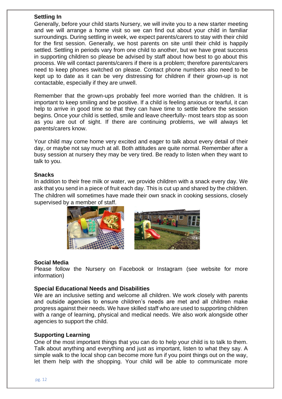#### **Settling In**

Generally, before your child starts Nursery, we will invite you to a new starter meeting and we will arrange a home visit so we can find out about your child in familiar surroundings. During settling in week, we expect parents/carers to stay with their child for the first session. Generally, we host parents on site until their child is happily settled. Settling in periods vary from one child to another, but we have great success in supporting children so please be advised by staff about how best to go about this process. We will contact parents/carers if there is a problem; therefore parents/carers need to keep phones switched on please. Contact phone numbers also need to be kept up to date as it can be very distressing for children if their grown-up is not contactable, especially if they are unwell.

Remember that the grown-ups probably feel more worried than the children. It is important to keep smiling and be positive. If a child is feeling anxious or tearful, it can help to arrive in good time so that they can have time to settle before the session begins. Once your child is settled, smile and leave cheerfully- most tears stop as soon as you are out of sight. If there are continuing problems, we will always let parents/carers know.

Your child may come home very excited and eager to talk about every detail of their day, or maybe not say much at all. Both attitudes are quite normal. Remember after a busy session at nursery they may be very tired. Be ready to listen when they want to talk to you.

#### **Snacks**

In addition to their free milk or water, we provide children with a snack every day. We ask that you send in a piece of fruit each day. This is cut up and shared by the children. The children will sometimes have made their own snack in cooking sessions, closely supervised by a member of staff.





#### **Social Media**

Please follow the Nursery on Facebook or Instagram (see website for more information)

#### **Special Educational Needs and Disabilities**

We are an inclusive setting and welcome all children. We work closely with parents and outside agencies to ensure children's needs are met and all children make progress against their needs. We have skilled staff who are used to supporting children with a range of learning, physical and medical needs. We also work alongside other agencies to support the child.

#### **Supporting Learning**

One of the most important things that you can do to help your child is to talk to them. Talk about anything and everything and just as important, listen to what they say. A simple walk to the local shop can become more fun if you point things out on the way, let them help with the shopping. Your child will be able to communicate more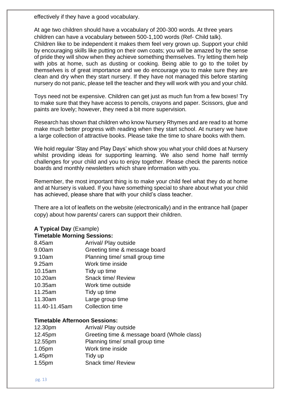effectively if they have a good vocabulary.

At age two children should have a vocabulary of 200-300 words. At three years children can have a vocabulary between 500-1,100 words (Ref- Child talk).

Children like to be independent it makes them feel very grown up. Support your child by encouraging skills like putting on their own coats; you will be amazed by the sense of pride they will show when they achieve something themselves. Try letting them help with jobs at home, such as dusting or cooking. Being able to go to the toilet by themselves is of great importance and we do encourage you to make sure they are clean and dry when they start nursery. If they have not managed this before starting nursery do not panic, please tell the teacher and they will work with you and your child.

Toys need not be expensive. Children can get just as much fun from a few boxes! Try to make sure that they have access to pencils, crayons and paper. Scissors, glue and paints are lovely; however, they need a bit more supervision.

Research has shown that children who know Nursery Rhymes and are read to at home make much better progress with reading when they start school. At nursery we have a large collection of attractive books. Please take the time to share books with them.

We hold regular 'Stay and Play Days' which show you what your child does at Nursery whilst providing ideas for supporting learning. We also send home half termly challenges for your child and you to enjoy together. Please check the parents notice boards and monthly newsletters which share information with you.

Remember, the most important thing is to make your child feel what they do at home and at Nursery is valued. If you have something special to share about what your child has achieved, please share that with your child's class teacher.

There are a lot of leaflets on the website (electronically) and in the entrance hall (paper copy) about how parents/ carers can support their children.

#### **A Typical Day** (Example)

#### **Timetable Morning Sessions:**

8.45am Arrival/ Play outside 9.00am Greeting time & message board 9.10am Planning time/ small group time 9.25am Work time inside 10.15am Tidy up time 10.20am Snack time/ Review 10.35am Work time outside 11.25am Tidy up time 11.30am Large group time 11.40-11.45am Collection time

#### **Timetable Afternoon Sessions:**

12.30pm Arrival/ Play outside 12.45pm Greeting time & message board (Whole class) 12.55pm Planning time/ small group time 1.05pm Work time inside 1.45pm Tidy up 1.55pm Snack time/ Review